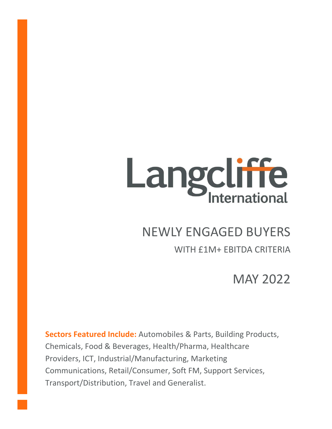# Langcliffe

# NEWLY ENGAGED BUYERS

# WITH £1M+ EBITDA CRITERIA

MAY 2022

**Sectors Featured Include:** Automobiles & Parts, Building Products, Chemicals, Food & Beverages, Health/Pharma, Healthcare Providers, ICT, Industrial/Manufacturing, Marketing Communications, Retail/Consumer, Soft FM, Support Services, Transport/Distribution, Travel and Generalist.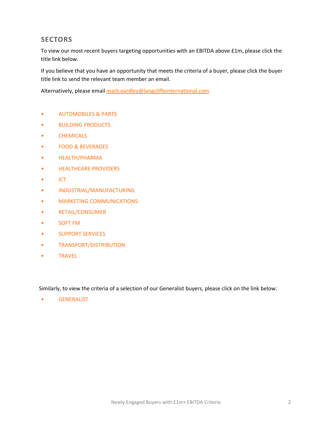# **SECTORS**

To view our most recent buyers targeting opportunities with an EBITDA above £1m, please click the title link below.

If you believe that you have an opportunity that meets the criteria of a buyer, please click the buyer title link to send the relevant team member an email.

Alternatively, please email [mark.eardley@langcliffeinternational.com](mailto:mark.eardley@langcliffeinternational.com?subject=Newly%20Engaged%20Buyers%20-%20£1m+%20EBITDA%20-%20May%2022)

- [AUTOMOBILES & PARTS](#page-2-0)
- [BUILDING PRODUCTS](#page-3-0)
- [CHEMICALS](#page-5-0)
- [FOOD & BEVERAGES](#page-6-0)
- [HEALTH/PHARMA](#page-7-0)
- [HEALTHCARE PROVIDERS](#page-8-0)
- [ICT](#page-9-0)
- [INDUSTRIAL/MANUFACTURING](#page-11-0)
- [MARKETING COMMUNICATIONS](#page-12-0)
- [RETAIL/CONSUMER](#page-13-0)
- [SOFT FM](#page-14-0)
- [SUPPORT SERVICES](#page-15-0)
- [TRANSPORT/DISTRIBUTION](#page-17-0)
- [TRAVEL](#page-19-0)

Similarly, to view the criteria of a selection of our Generalist buyers, please click on the link below:

• [GENERALIST](#page-20-0)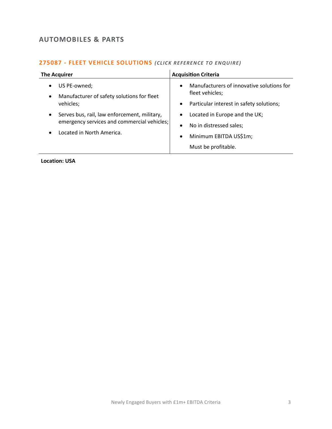# <span id="page-2-0"></span>**AUTOMOBILES & PARTS**

# **275087 - [FLEET VEHICLE SOLUTIONS](mailto:eloka.philip@langcliffeinternational.com?subject=275087%20-%20Fleet%20Vehicle%20Solutions)** (CLICK REFERENCE TO ENQUIRE)

| <b>The Acquirer</b>                                                                                                                                | <b>Acquisition Criteria</b>                                                                                                         |
|----------------------------------------------------------------------------------------------------------------------------------------------------|-------------------------------------------------------------------------------------------------------------------------------------|
| US PE-owned;<br>$\bullet$<br>Manufacturer of safety solutions for fleet<br>$\bullet$<br>vehicles;                                                  | Manufacturers of innovative solutions for<br>$\bullet$<br>fleet vehicles;<br>Particular interest in safety solutions;<br>$\bullet$  |
| Serves bus, rail, law enforcement, military,<br>$\bullet$<br>emergency services and commercial vehicles;<br>Located in North America.<br>$\bullet$ | Located in Europe and the UK;<br>No in distressed sales;<br>$\bullet$<br>Minimum EBITDA US\$1m;<br>$\bullet$<br>Must be profitable. |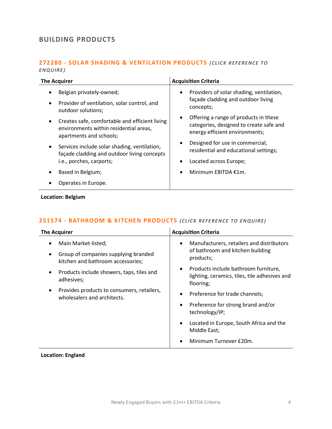# <span id="page-3-0"></span>**BUILDING PRODUCTS**

## **272280 - [SOLAR SHADING & VENTILATION PRODUCTS](mailto:poppy.briggs@langcliffeinternational.com?subject=272280%20-%20Solar%20Shading%20&%20Ventilation%20Products)** *(CLICK REFERENCE TO ENQUIRE )*

| <b>Acquisition Criteria</b>                                                                                                     |
|---------------------------------------------------------------------------------------------------------------------------------|
| Providers of solar shading, ventilation,<br>٠                                                                                   |
| façade cladding and outdoor living<br>concepts;                                                                                 |
| Offering a range of products in these<br>$\bullet$<br>categories, designed to create safe and<br>energy efficient environments; |
| Designed for use in commercial,<br>$\bullet$<br>residential and educational settings;                                           |
| Located across Europe;<br>٠                                                                                                     |
| Minimum EBITDA €1m.<br>$\bullet$                                                                                                |
|                                                                                                                                 |
|                                                                                                                                 |

**Location: Belgium**

# **251574 - [BATHROOM & KITCHEN PRODUCTS](mailto:jack.hutchinson@langcliffeinternational.com?subject=251574%20-%20Bathroom%20and%20Kitchen%20Products)** *(CLICK REFE RENCE TO ENQUIRE)*

| <b>The Acquirer</b>                                                                    | <b>Acquisition Criteria</b>                                                                                     |
|----------------------------------------------------------------------------------------|-----------------------------------------------------------------------------------------------------------------|
| Main Market-listed;                                                                    | Manufacturers, retailers and distributors<br>$\bullet$                                                          |
| Group of companies supplying branded<br>$\bullet$<br>kitchen and bathroom accessories; | of bathroom and kitchen building<br>products;                                                                   |
| Products include showers, taps, tiles and<br>$\bullet$<br>adhesives;                   | Products include bathroom furniture,<br>$\bullet$<br>lighting, ceramics, tiles, tile adhesives and<br>flooring; |
| Provides products to consumers, retailers,<br>wholesalers and architects.              | Preference for trade channels;<br>$\bullet$                                                                     |
|                                                                                        | Preference for strong brand and/or<br>$\bullet$<br>technology/IP;                                               |
|                                                                                        | Located in Europe, South Africa and the<br>$\bullet$<br>Middle East;                                            |
|                                                                                        | Minimum Turnover £20m.<br>$\bullet$                                                                             |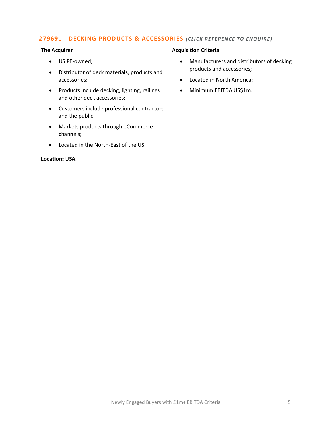# **279691 - [DECKING PRODUCTS & ACCESSORIES](mailto:george.davies@langcliffeinternational.com?subject=279691%20-%20Decking%20Products%20and%20Accessories)** (CLICK REFERENCE TO ENQUIRE)

| <b>The Acquirer</b>                                                                                                                                                                                                                                                                                                                                                                                  | <b>Acquisition Criteria</b>                                                                                                                                  |
|------------------------------------------------------------------------------------------------------------------------------------------------------------------------------------------------------------------------------------------------------------------------------------------------------------------------------------------------------------------------------------------------------|--------------------------------------------------------------------------------------------------------------------------------------------------------------|
| US PE-owned;<br>$\bullet$<br>Distributor of deck materials, products and<br>$\bullet$<br>accessories;<br>Products include decking, lighting, railings<br>$\bullet$<br>and other deck accessories;<br>Customers include professional contractors<br>$\bullet$<br>and the public;<br>Markets products through eCommerce<br>$\bullet$<br>channels;<br>Located in the North-East of the US.<br>$\bullet$ | Manufacturers and distributors of decking<br>$\bullet$<br>products and accessories;<br>Located in North America;<br>٠<br>Minimum EBITDA US\$1m.<br>$\bullet$ |
| <b>Location: USA</b>                                                                                                                                                                                                                                                                                                                                                                                 |                                                                                                                                                              |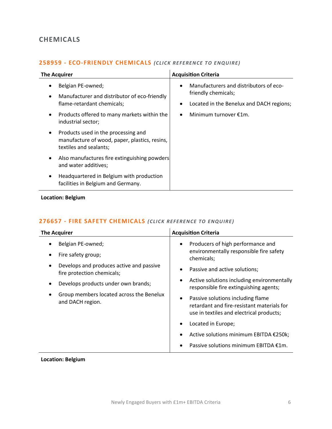# <span id="page-5-0"></span>**CHEMICALS**

# **258959 - [ECO-FRIENDLY CHEMICALS](mailto:poppy.briggs@langcliffeinternational.com?subject=258959%20-%20Eco-Friendly%20Chemicals)** *(CLICK RE FEREN CE TO ENQUIRE)*

| <b>The Acquirer</b>                                                                                                                                                               | <b>Acquisition Criteria</b>                                                                                                                                  |
|-----------------------------------------------------------------------------------------------------------------------------------------------------------------------------------|--------------------------------------------------------------------------------------------------------------------------------------------------------------|
| Belgian PE-owned;<br>Manufacturer and distributor of eco-friendly<br>flame-retardant chemicals;<br>Products offered to many markets within the<br>$\bullet$<br>industrial sector; | Manufacturers and distributors of eco-<br>$\bullet$<br>friendly chemicals;<br>Located in the Benelux and DACH regions;<br>Minimum turnover €1m.<br>$\bullet$ |
| Products used in the processing and<br>$\bullet$<br>manufacture of wood, paper, plastics, resins,<br>textiles and sealants;                                                       |                                                                                                                                                              |
| Also manufactures fire extinguishing powders<br>$\bullet$<br>and water additives;                                                                                                 |                                                                                                                                                              |
| Headquartered in Belgium with production<br>٠<br>facilities in Belgium and Germany.                                                                                               |                                                                                                                                                              |

**Location: Belgium**

# 276657 - [FIRE SAFETY CHEMICALS](mailto:poppy.briggs@langcliffeinternational.com?subject=276657%20-%20Fire%20Safety%20Chemicals) *(CLICK REFERENCE TO ENQUIRE)*

| <b>Acquisition Criteria</b>                                                                                                              |
|------------------------------------------------------------------------------------------------------------------------------------------|
| Producers of high performance and<br>$\bullet$                                                                                           |
| environmentally responsible fire safety<br>chemicals;                                                                                    |
| Passive and active solutions;                                                                                                            |
| Active solutions including environmentally<br>$\bullet$<br>responsible fire extinguishing agents;                                        |
| Passive solutions including flame<br>$\bullet$<br>retardant and fire-resistant materials for<br>use in textiles and electrical products; |
| Located in Europe;                                                                                                                       |
| Active solutions minimum EBITDA €250k;                                                                                                   |
| Passive solutions minimum EBITDA €1m.                                                                                                    |
|                                                                                                                                          |

### **Location: Belgium**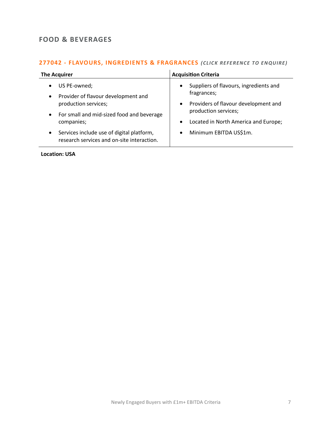# <span id="page-6-0"></span>**FOOD & BEVERAGES**

# **277042 - [FLAVOURS, INGREDIENTS & FRAGRANCES](mailto:george.davies@langcliffeinternational.com?subject=277042%20-%20Flavours,%20Ingredients%20and%20Fragrances)** *(CLICK REFE RENCE TO EN QUIRE)*

| <b>The Acquirer</b>                                                                                  | <b>Acquisition Criteria</b>                                               |
|------------------------------------------------------------------------------------------------------|---------------------------------------------------------------------------|
| US PE-owned;<br>$\bullet$<br>Provider of flavour development and<br>$\bullet$                        | Suppliers of flavours, ingredients and<br>$\bullet$<br>fragrances;        |
| production services;<br>• For small and mid-sized food and beverage                                  | Providers of flavour development and<br>$\bullet$<br>production services; |
| companies;                                                                                           | Located in North America and Europe;<br>$\bullet$                         |
| Services include use of digital platform,<br>$\bullet$<br>research services and on-site interaction. | Minimum EBITDA US\$1m.<br>$\bullet$                                       |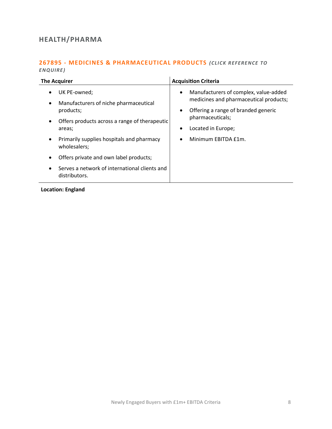# <span id="page-7-0"></span>**HEALTH/PHARMA**

# **267895 - [MEDICINES & PHARMACEUTICAL PRODUCTS](mailto:maryia.amrez@langcliffeinternational.com?subject=267895%20-%20Medicines%20and%20Pharmaceutical%20Products)** *(CLICK REFERENCE TO ENQUIRE )*

| The Acquirer                                                                                                                                                                                                                                                                                                                                                                 | <b>Acquisition Criteria</b>                                                                                                                                                                                                                 |
|------------------------------------------------------------------------------------------------------------------------------------------------------------------------------------------------------------------------------------------------------------------------------------------------------------------------------------------------------------------------------|---------------------------------------------------------------------------------------------------------------------------------------------------------------------------------------------------------------------------------------------|
| UK PE-owned;<br>٠<br>Manufacturers of niche pharmaceutical<br>$\bullet$<br>products;<br>Offers products across a range of therapeutic<br>$\bullet$<br>areas;<br>Primarily supplies hospitals and pharmacy<br>$\bullet$<br>wholesalers;<br>Offers private and own label products;<br>$\bullet$<br>Serves a network of international clients and<br>$\bullet$<br>distributors. | Manufacturers of complex, value-added<br>$\bullet$<br>medicines and pharmaceutical products;<br>Offering a range of branded generic<br>$\bullet$<br>pharmaceuticals;<br>Located in Europe;<br>$\bullet$<br>Minimum EBITDA £1m.<br>$\bullet$ |
|                                                                                                                                                                                                                                                                                                                                                                              |                                                                                                                                                                                                                                             |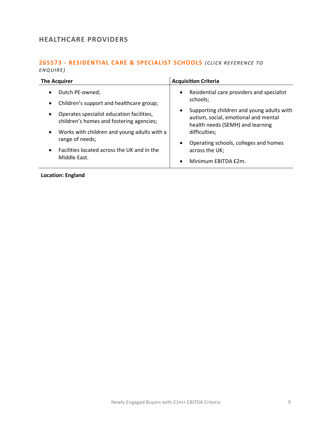# <span id="page-8-0"></span>**HEALTHCARE PROVIDERS**

### **265573 - [RESIDENTIAL CARE & SPECIALIST SCHOOLS](mailto:poppy.briggs@langcliffeinternational.com?subject=265573%20-%20Residential%20Care%20and%20Specialist%20Schools)** *(CLICK RE FERENCE TO ENQUIRE )*

| <b>The Acquirer</b>                         | <b>Acquisition Criteria</b>               |
|---------------------------------------------|-------------------------------------------|
| Dutch PE-owned;                             | Residential care providers and specialist |
| $\bullet$                                   | $\bullet$                                 |
| Children's support and healthcare group;    | schools;                                  |
| $\bullet$                                   | Supporting children and young adults with |
| Operates specialist education facilities,   | $\bullet$                                 |
| $\bullet$                                   | autism, social, emotional and mental      |
| children's homes and fostering agencies;    | health needs (SEMH) and learning          |
| Works with children and young adults with a | difficulties;                             |
| $\bullet$                                   | Operating schools, colleges and homes     |
| range of needs;                             | $\bullet$                                 |
| Facilities located across the UK and in the | across the UK;                            |
| $\bullet$                                   | Minimum EBITDA £2m.                       |
| Middle East.                                | $\bullet$                                 |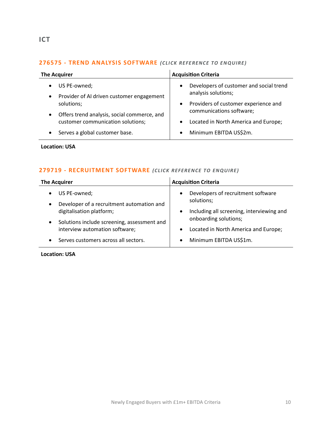# <span id="page-9-0"></span>**276575 - [TREND ANALYSIS SOFTWARE](mailto:george.davies@langcliffeinternational.com?subject=276575%20-%20Trend%20Analysis%20Software)** *(CLICK REFE RENCE TO EN QUIRE)*

| <b>The Acquirer</b>                                                                 | <b>Acquisition Criteria</b>                                                 |
|-------------------------------------------------------------------------------------|-----------------------------------------------------------------------------|
| US PE-owned;<br>$\bullet$<br>Provider of AI driven customer engagement<br>$\bullet$ | Developers of customer and social trend<br>$\bullet$<br>analysis solutions; |
| solutions;                                                                          | Providers of customer experience and<br>$\bullet$                           |
| Offers trend analysis, social commerce, and<br>$\bullet$                            | communications software;                                                    |
| customer communication solutions;                                                   | Located in North America and Europe;<br>$\bullet$                           |
| Serves a global customer base.<br>$\bullet$                                         | Minimum EBITDA US\$2m.<br>$\bullet$                                         |

**Location: USA**

# **279719 - [RECRUITMENT SOFTWARE](mailto:george.davies@langcliffeinternational.com?subject=279719%20-%20Recruitment%20Software)** *(CLICK REFEREN CE TO ENQUIRE )*

| <b>The Acquirer</b>                                       | <b>Acquisition Criteria</b>                                   |
|-----------------------------------------------------------|---------------------------------------------------------------|
| US PE-owned;<br>Developer of a recruitment automation and | Developers of recruitment software<br>$\bullet$<br>solutions; |
| digitalisation platform;                                  | Including all screening, interviewing and<br>$\bullet$        |
| Solutions include screening, assessment and<br>$\bullet$  | onboarding solutions;                                         |
| interview automation software;                            | Located in North America and Europe;                          |
| Serves customers across all sectors.                      | Minimum EBITDA US\$1m.<br>$\bullet$                           |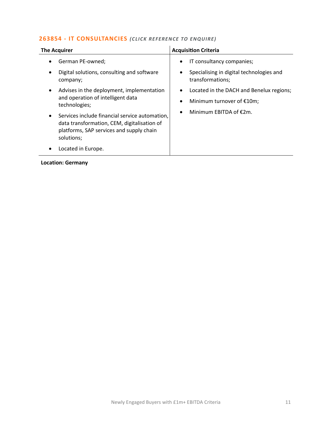# **263854 - [IT CONSULTANCIES](mailto:poppy.briggs@langcliffeinternational.com?subject=263854%20-%20IT%20Consultancies)** *(CLICK RE FERE NCE TO ENQUIRE)*

| <b>The Acquirer</b>                                                                                                                                                  | <b>Acquisition Criteria</b>                                                                                         |
|----------------------------------------------------------------------------------------------------------------------------------------------------------------------|---------------------------------------------------------------------------------------------------------------------|
| German PE-owned;<br>$\bullet$<br>Digital solutions, consulting and software<br>$\bullet$<br>company;                                                                 | IT consultancy companies;<br>$\bullet$<br>Specialising in digital technologies and<br>$\bullet$<br>transformations; |
| Advises in the deployment, implementation<br>$\bullet$<br>and operation of intelligent data<br>technologies;                                                         | Located in the DACH and Benelux regions;<br>$\bullet$<br>Minimum turnover of $£10m;$<br>$\bullet$                   |
| Services include financial service automation,<br>$\bullet$<br>data transformation, CEM, digitalisation of<br>platforms, SAP services and supply chain<br>solutions; | Minimum EBITDA of $E2m$ .<br>$\bullet$                                                                              |
| Located in Europe.                                                                                                                                                   |                                                                                                                     |
|                                                                                                                                                                      |                                                                                                                     |

# **Location: Germany**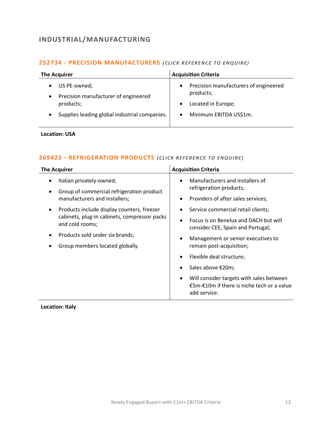# <span id="page-11-0"></span>**INDUSTRIAL/MANUFACTURING**

# **252734 - [PRECISION MANUFACTURERS](mailto:george.davies@langcliffeinternational.com?subject=252734%20-%20Precision%20Manufacturers)** *(CLICK RE FEREN CE TO EN QUIRE)*

| <b>The Acquirer</b>                               | <b>Acquisition Criteria</b>                        |
|---------------------------------------------------|----------------------------------------------------|
| US PE-owned;                                      | Precision manufacturers of engineered<br>$\bullet$ |
| Precision manufacturer of engineered<br>$\bullet$ | products;                                          |
| products;                                         | Located in Europe;<br>$\bullet$                    |
| Supplies leading global industrial companies.     | Minimum EBITDA US\$1m.<br>$\bullet$                |
|                                                   |                                                    |

# **Location: USA**

### **269423 - [REFRIGERATION PRODUCTS](mailto:francesca.morra@langcliffeinternational.com?subject=269423%20-%20Refrigeration%20Products)** *(CLICK REFE RENCE TO EN QUIRE)*

| <b>The Acquirer</b>                                                        | <b>Acquisition Criteria</b>                                                                                 |
|----------------------------------------------------------------------------|-------------------------------------------------------------------------------------------------------------|
| Italian privately-owned;<br>$\bullet$                                      | Manufacturers and installers of<br>$\bullet$<br>refrigeration products;                                     |
| Group of commercial refrigeration product<br>manufacturers and installers; | Providers of after sales services;<br>$\bullet$                                                             |
| Products include display counters, freezer<br>$\bullet$                    | Service commercial retail clients;<br>٠                                                                     |
| cabinets, plug-in cabinets, compressor packs<br>and cold rooms;            | Focus is on Benelux and DACH but will<br>$\bullet$<br>consider CEE, Spain and Portugal;                     |
| Products sold under six brands;                                            | Management or senior executives to<br>٠                                                                     |
| Group members located globally.                                            | remain post-acquisition;                                                                                    |
|                                                                            | Flexible deal structure;<br>٠                                                                               |
|                                                                            | Sales above €20m;                                                                                           |
|                                                                            | Will consider targets with sales between<br>٠<br>€5m-€10m if there is niche tech or a value<br>add service. |

**Location: Italy**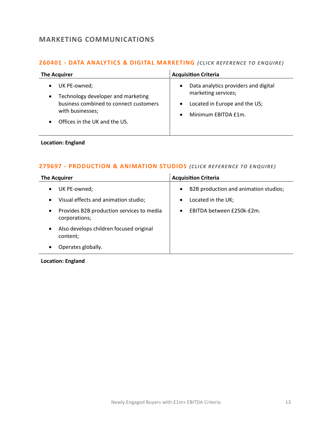# <span id="page-12-0"></span>**MARKETING COMMUNICATIONS**

# **260401 - [DATA ANALYTICS & DIGITAL MARKETING](mailto:maryia.amrez@langcliffeinternational.com?subject=260401%20-%20Data%20Analytics%20and%20Digital%20Marketing)** *(CLICK REFE RENCE TO ENQUIRE)*

| Data analytics providers and digital<br>UK PE-owned;<br>$\bullet$<br>marketing services;<br>Technology developer and marketing<br>$\bullet$<br>business combined to connect customers<br>Located in Europe and the US;<br>$\bullet$<br>with businesses;<br>Minimum EBITDA £1m.<br>$\bullet$<br>Offices in the UK and the US. | <b>The Acquirer</b> | <b>Acquisition Criteria</b> |
|------------------------------------------------------------------------------------------------------------------------------------------------------------------------------------------------------------------------------------------------------------------------------------------------------------------------------|---------------------|-----------------------------|
|                                                                                                                                                                                                                                                                                                                              |                     |                             |

### **Location: England**

# **279697 - [PRODUCTION & ANIMATION STUDIOS](mailto:millie.maddocks@langcliffeinternational.com?subject=279697%20-%20Production%20and%20Animation%20Studios)** (CLICK REFERENCE TO ENQUIRE)

| <b>The Acquirer</b>                                              | <b>Acquisition Criteria</b>                        |
|------------------------------------------------------------------|----------------------------------------------------|
| UK PE-owned;<br>$\bullet$                                        | B2B production and animation studios;<br>$\bullet$ |
| Visual effects and animation studio;<br>$\bullet$                | Located in the UK;<br>٠                            |
| Provides B2B production services to media<br>٠<br>corporations;  | EBITDA between £250k-£2m.<br>$\bullet$             |
| Also develops children focused original<br>$\bullet$<br>content; |                                                    |
| Operates globally.                                               |                                                    |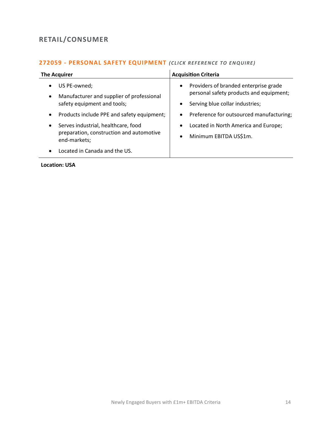# <span id="page-13-0"></span>**RETAIL/CONSUMER**

# **272059 - [PERSONAL SAFETY EQUIPMENT](mailto:george.davies@langcliffeinternational.com?subject=272059%20-%20Personal%20Safety%20Equipment)** *(CLICK REFE RENCE TO E NQUIRE )*

| <b>The Acquirer</b>                        | <b>Acquisition Criteria</b>              |
|--------------------------------------------|------------------------------------------|
| US PE-owned;                               | Providers of branded enterprise grade    |
| Manufacturer and supplier of professional  | $\bullet$                                |
| $\bullet$                                  | personal safety products and equipment;  |
| safety equipment and tools;                | Serving blue collar industries;          |
| Products include PPE and safety equipment; | $\bullet$                                |
| $\bullet$                                  | Preference for outsourced manufacturing; |
| Serves industrial, healthcare, food        | $\bullet$                                |
| $\bullet$                                  | Located in North America and Europe;     |
| preparation, construction and automotive   | $\bullet$                                |
| end-markets;                               | Minimum EBITDA US\$1m.                   |
| Located in Canada and the US.              | $\bullet$                                |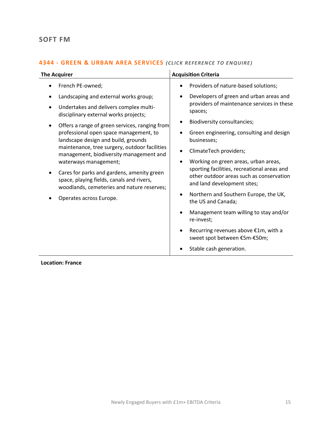# <span id="page-14-0"></span>**SOFT FM**

# **4344 - [GREEN & URBAN AREA SERVICES](mailto:poppy.briggs@langcliffeinternational.com?subject=4344%20-%20Green%20and%20Urban%20Area%20Services)** (CLICK REFERENCE TO ENQUIRE)

| <b>The Acquirer</b>                                                                                                                                                                                                                                                                                                                                                                                                                                                                                                                                               | <b>Acquisition Criteria</b>                                                                                                                                                                                                                                                                                                                                                                                                                                                                                                                                                                                                        |
|-------------------------------------------------------------------------------------------------------------------------------------------------------------------------------------------------------------------------------------------------------------------------------------------------------------------------------------------------------------------------------------------------------------------------------------------------------------------------------------------------------------------------------------------------------------------|------------------------------------------------------------------------------------------------------------------------------------------------------------------------------------------------------------------------------------------------------------------------------------------------------------------------------------------------------------------------------------------------------------------------------------------------------------------------------------------------------------------------------------------------------------------------------------------------------------------------------------|
| French PE-owned;                                                                                                                                                                                                                                                                                                                                                                                                                                                                                                                                                  | Providers of nature-based solutions;                                                                                                                                                                                                                                                                                                                                                                                                                                                                                                                                                                                               |
| Landscaping and external works group;<br>Undertakes and delivers complex multi-<br>$\bullet$<br>disciplinary external works projects;<br>Offers a range of green services, ranging from<br>professional open space management, to<br>landscape design and build, grounds<br>maintenance, tree surgery, outdoor facilities<br>management, biodiversity management and<br>waterways management;<br>Cares for parks and gardens, amenity green<br>space, playing fields, canals and rivers,<br>woodlands, cemeteries and nature reserves;<br>Operates across Europe. | Developers of green and urban areas and<br>٠<br>providers of maintenance services in these<br>spaces;<br>Biodiversity consultancies;<br>Green engineering, consulting and design<br>businesses;<br>ClimateTech providers;<br>Working on green areas, urban areas,<br>$\bullet$<br>sporting facilities, recreational areas and<br>other outdoor areas such as conservation<br>and land development sites;<br>Northern and Southern Europe, the UK,<br>the US and Canada;<br>Management team willing to stay and/or<br>re-invest;<br>Recurring revenues above €1m, with a<br>sweet spot between €5m-€50m;<br>Stable cash generation. |

**Location: France**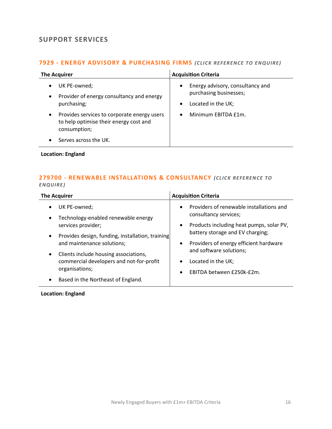# <span id="page-15-0"></span>**SUPPORT SERVICES**

# **7929 - [ENERGY ADVISORY & PURCHASING FIRMS](mailto:millie.maddocks@langcliffeinternational.com?subject=7929%20-%20Energy%20Advisory%20and%20Purchasing%20Firms)** *(CLICK RE FERENCE TO ENQUIRE)*

| <b>The Acquirer</b>                                                                                                | <b>Acquisition Criteria</b>                                                                                |
|--------------------------------------------------------------------------------------------------------------------|------------------------------------------------------------------------------------------------------------|
| UK PE-owned;<br>$\bullet$<br>Provider of energy consultancy and energy<br>$\bullet$<br>purchasing;                 | Energy advisory, consultancy and<br>$\bullet$<br>purchasing businesses;<br>Located in the UK;<br>$\bullet$ |
| Provides services to corporate energy users<br>$\bullet$<br>to help optimise their energy cost and<br>consumption; | Minimum EBITDA £1m.<br>$\bullet$                                                                           |
| Serves across the UK.                                                                                              |                                                                                                            |

# **Location: England**

### **279700 - [RENEWABLE INSTALLATIONS & CONSULTANCY](mailto:millie.maddocks@langcliffeinternational.com?subject=279700%20-%20Renewable%20Installations%20and%20Consultancy)** *(CLICK REFEREN CE TO ENQUIRE )*

| <b>The Acquirer</b>                                                                                              | <b>Acquisition Criteria</b>                                                                                                             |
|------------------------------------------------------------------------------------------------------------------|-----------------------------------------------------------------------------------------------------------------------------------------|
| UK PE-owned;<br>Technology-enabled renewable energy<br>$\bullet$<br>services provider;                           | Providers of renewable installations and<br>$\bullet$<br>consultancy services;<br>Products including heat pumps, solar PV,<br>$\bullet$ |
| Provides design, funding, installation, training<br>$\bullet$<br>and maintenance solutions;                      | battery storage and EV charging;<br>Providers of energy efficient hardware<br>$\bullet$                                                 |
| Clients include housing associations,<br>$\bullet$<br>commercial developers and not-for-profit<br>organisations; | and software solutions;<br>Located in the UK;<br>$\bullet$<br>EBITDA between £250k-£2m.<br>$\bullet$                                    |
| Based in the Northeast of England.<br>$\bullet$                                                                  |                                                                                                                                         |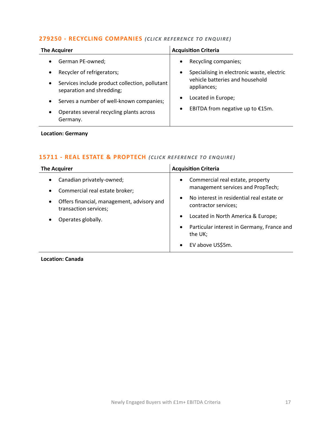# **279250 - [RECYCLING COMPANIES](mailto:poppy.briggs@langcliffeinternational.com?subject=279250%20-%20Recycling%20Companies)** *(CLICK RE FERENCE TO EN QUIRE)*

| <b>The Acquirer</b>                                                                      | <b>Acquisition Criteria</b>                     |
|------------------------------------------------------------------------------------------|-------------------------------------------------|
| German PE-owned;                                                                         | Recycling companies;<br>$\bullet$               |
| Recycler of refrigerators;                                                               | Specialising in electronic waste, electric<br>٠ |
| Services include product collection, pollutant<br>$\bullet$<br>separation and shredding; | vehicle batteries and household<br>appliances;  |
| Serves a number of well-known companies;<br>$\bullet$                                    | Located in Europe;<br>$\bullet$                 |
| Operates several recycling plants across<br>$\bullet$<br>Germany.                        | EBITDA from negative up to €15m.<br>$\bullet$   |

### **Location: Germany**

# 15711 - **[REAL ESTATE & PROPTECH](mailto:eloka.philip@langcliffeinternational.com?subject=15711%20-%20Real%20Estate%20and%20PropTech)** (CLICK REFERENCE TO ENQUIRE)

| <b>The Acquirer</b>                                                                                                             | <b>Acquisition Criteria</b>                                                        |
|---------------------------------------------------------------------------------------------------------------------------------|------------------------------------------------------------------------------------|
| Canadian privately-owned;<br>$\bullet$                                                                                          | Commercial real estate, property<br>$\bullet$<br>management services and PropTech; |
| Commercial real estate broker;<br>$\bullet$<br>Offers financial, management, advisory and<br>$\bullet$<br>transaction services; | No interest in residential real estate or<br>$\bullet$<br>contractor services;     |
| Operates globally.<br>$\bullet$                                                                                                 | Located in North America & Europe;<br>$\bullet$                                    |
|                                                                                                                                 | Particular interest in Germany, France and<br>$\bullet$<br>the UK;                 |
|                                                                                                                                 | EV above US\$5m.<br>$\bullet$                                                      |

**Location: Canada**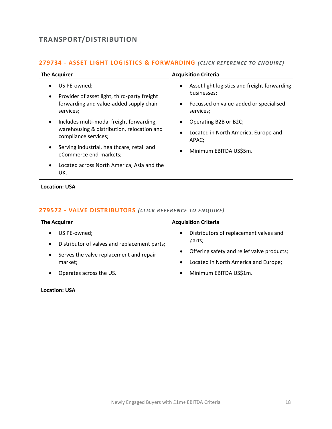# <span id="page-17-0"></span>**TRANSPORT/DISTRIBUTION**

# **279734 - [ASSET LIGHT LOGISTICS & FORWARDING](mailto:george.davies@langcliffeinternational.com?subject=279734%20-%20Asset%20Light%20Logistics%20and%20Forwarding)** *(CLICK RE FERE NCE TO ENQUIRE)*

| <b>The Acquirer</b>                                                                                                                                                                                      | <b>Acquisition Criteria</b>                                                                                                          |
|----------------------------------------------------------------------------------------------------------------------------------------------------------------------------------------------------------|--------------------------------------------------------------------------------------------------------------------------------------|
| US PE-owned;<br>Provider of asset light, third-party freight<br>$\bullet$<br>forwarding and value-added supply chain<br>services;                                                                        | Asset light logistics and freight forwarding<br>٠<br>businesses;<br>Focussed on value-added or specialised<br>$\bullet$<br>services; |
| Includes multi-modal freight forwarding,<br>$\bullet$<br>warehousing & distribution, relocation and<br>compliance services;<br>Serving industrial, healthcare, retail and<br>٠<br>eCommerce end-markets; | Operating B2B or B2C;<br>Located in North America, Europe and<br>٠<br>APAC;<br>Minimum EBITDA US\$5m.<br>$\bullet$                   |
| Located across North America, Asia and the<br>$\bullet$<br>UK.                                                                                                                                           |                                                                                                                                      |

**Location: USA**

# **279572 - [VALVE DISTRIBUTORS](mailto:george.davies@langcliffeinternational.com?subject=279572%20-%20Valve%20Distributors)** *(CLICK REFE RENCE TO EN QUIRE)*

| <b>The Acquirer</b>                                                                                                                                                                               | <b>Acquisition Criteria</b>                                                                                                                                                                                          |
|---------------------------------------------------------------------------------------------------------------------------------------------------------------------------------------------------|----------------------------------------------------------------------------------------------------------------------------------------------------------------------------------------------------------------------|
| US PE-owned;<br>$\bullet$<br>Distributor of valves and replacement parts;<br>$\bullet$<br>Serves the valve replacement and repair<br>$\bullet$<br>market;<br>Operates across the US.<br>$\bullet$ | Distributors of replacement valves and<br>$\bullet$<br>parts;<br>Offering safety and relief valve products;<br>$\bullet$<br>Located in North America and Europe;<br>$\bullet$<br>Minimum EBITDA US\$1m.<br>$\bullet$ |
|                                                                                                                                                                                                   |                                                                                                                                                                                                                      |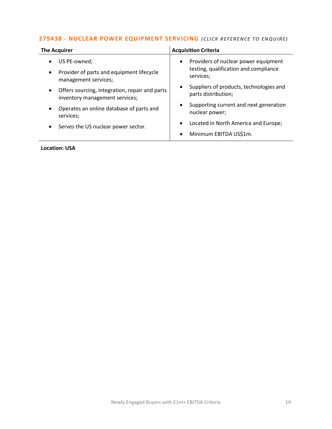# **279438 - [NUCLEAR POWER EQUIPMENT SERVICING](mailto:george.davies@langcliffeinternational.com?subject=279438%20-%20Nuclear%20Power%20Equipment%20Servicing)** *(CLICK RE FE RENCE TO EN QUIRE)*

| <b>The Acquirer</b>                                                                                         | <b>Acquisition Criteria</b>                                                                             |
|-------------------------------------------------------------------------------------------------------------|---------------------------------------------------------------------------------------------------------|
| US PE-owned;<br>$\bullet$<br>Provider of parts and equipment lifecycle<br>$\bullet$<br>management services; | Providers of nuclear power equipment<br>$\bullet$<br>testing, qualification and compliance<br>services; |
| Offers sourcing, integration, repair and parts<br>$\bullet$<br>inventory management services;               | Suppliers of products, technologies and<br>parts distribution;                                          |
| Operates an online database of parts and<br>$\bullet$<br>services;                                          | Supporting current and next generation<br>$\bullet$<br>nuclear power;                                   |
| Serves the US nuclear power sector.<br>$\bullet$                                                            | Located in North America and Europe;<br>$\bullet$<br>Minimum EBITDA US\$1m.<br>$\bullet$                |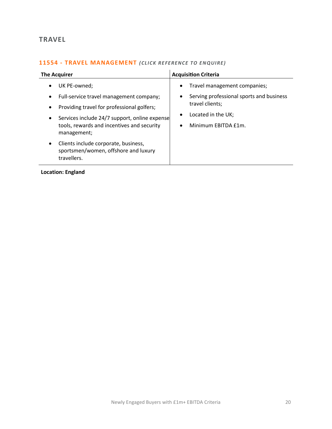# <span id="page-19-0"></span>**TRAVEL**

# **11554 - [TRAVEL MANAGEMENT](mailto:millie.maddocks@langcliffeinternational.com?subject=11554%20-%20Travel%20Management)** *(CLICK RE FERENCE TO EN QUIRE)*

| <b>The Acquirer</b>                                                                                                                                                                                                                                                     | <b>Acquisition Criteria</b>                                                                                                                                                  |
|-------------------------------------------------------------------------------------------------------------------------------------------------------------------------------------------------------------------------------------------------------------------------|------------------------------------------------------------------------------------------------------------------------------------------------------------------------------|
| UK PE-owned;<br>$\bullet$<br>Full-service travel management company;<br>$\bullet$<br>Providing travel for professional golfers;<br>$\bullet$<br>Services include 24/7 support, online expense<br>$\bullet$<br>tools, rewards and incentives and security<br>management; | Travel management companies;<br>٠<br>Serving professional sports and business<br>٠<br>travel clients;<br>Located in the UK;<br>$\bullet$<br>Minimum EBITDA £1m.<br>$\bullet$ |
| Clients include corporate, business,<br>$\bullet$<br>sportsmen/women, offshore and luxury<br>travellers.                                                                                                                                                                |                                                                                                                                                                              |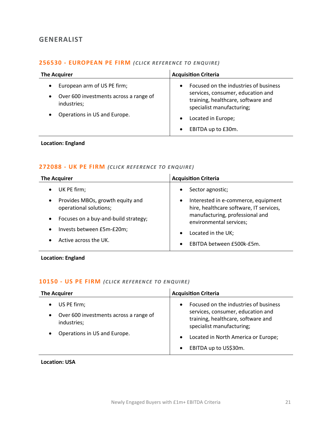# <span id="page-20-0"></span>**GENERALIST**

### **256530 - [EUROPEAN PE FIRM](mailto:george.davies@langcliffeinternational.com?subject=256530%20-%20European%20PE%20Firm)** *(CLICK RE FERENCE TO ENQUIRE)*

| <b>The Acquirer</b>                                                                                                                            | <b>Acquisition Criteria</b>                                                                                                                                                                                                      |
|------------------------------------------------------------------------------------------------------------------------------------------------|----------------------------------------------------------------------------------------------------------------------------------------------------------------------------------------------------------------------------------|
| European arm of US PE firm;<br>$\bullet$<br>Over 600 investments across a range of<br>$\bullet$<br>industries;<br>Operations in US and Europe. | Focused on the industries of business<br>$\bullet$<br>services, consumer, education and<br>training, healthcare, software and<br>specialist manufacturing;<br>Located in Europe;<br>$\bullet$<br>EBITDA up to £30m.<br>$\bullet$ |

### **Location: England**

# **272088 - [UK PE FIRM](mailto:millie.maddocks@langcliffeinternational.com?subject=272088%20-%20UK%20PE%20Firm)** *(CLICK REFE RENCE TO E NQUIRE )*

| <b>The Acquirer</b>                  | <b>Acquisition Criteria</b>             |
|--------------------------------------|-----------------------------------------|
| UK PE firm;                          | Sector agnostic;                        |
| $\bullet$                            | $\bullet$                               |
| Provides MBOs, growth equity and     | Interested in e-commerce, equipment     |
| $\bullet$                            | $\bullet$                               |
| operational solutions;               | hire, healthcare software, IT services, |
| Focuses on a buy-and-build strategy; | manufacturing, professional and         |
| $\bullet$                            | environmental services;                 |
| Invests between £5m-£20m;            | Located in the UK;                      |
| ٠                                    | $\bullet$                               |
| Active across the UK.                | EBITDA between £500k-£5m.<br>$\bullet$  |

**Location: England**

# 10150 - [US PE FIRM](mailto:george.davies@langcliffeinternational.com?subject=10150%20-%20US%20PE%20Firm) (CLICK REFERENCE TO ENQUIRE)

| <b>The Acquirer</b>                                                                            | <b>Acquisition Criteria</b>                                                                                                                                |
|------------------------------------------------------------------------------------------------|------------------------------------------------------------------------------------------------------------------------------------------------------------|
| US PE firm;<br>$\bullet$<br>Over 600 investments across a range of<br>$\bullet$<br>industries; | Focused on the industries of business<br>$\bullet$<br>services, consumer, education and<br>training, healthcare, software and<br>specialist manufacturing; |
| Operations in US and Europe.<br>$\bullet$                                                      | Located in North America or Europe;<br>$\bullet$<br>EBITDA up to US\$30m.<br>$\bullet$                                                                     |